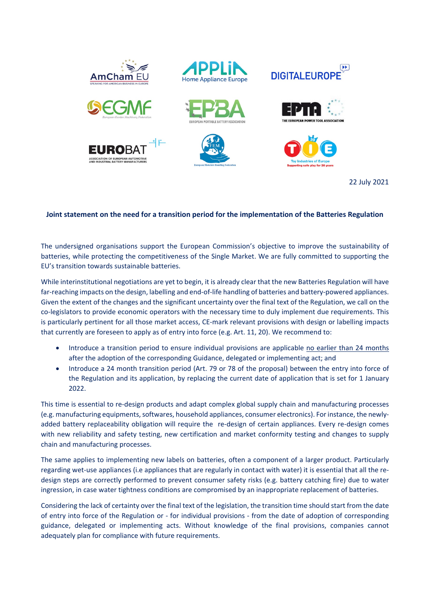

22 July 2021

## **Joint statement on the need for a transition period for the implementation of the Batteries Regulation**

The undersigned organisations support the European Commission's objective to improve the sustainability of batteries, while protecting the competitiveness of the Single Market. We are fully committed to supporting the EU's transition towards sustainable batteries.

While interinstitutional negotiations are yet to begin, it is already clear that the new Batteries Regulation will have far-reaching impacts on the design, labelling and end-of-life handling of batteries and battery-powered appliances. Given the extent of the changes and the significant uncertainty over the final text of the Regulation, we call on the co-legislators to provide economic operators with the necessary time to duly implement due requirements. This is particularly pertinent for all those market access, CE-mark relevant provisions with design or labelling impacts that currently are foreseen to apply as of entry into force (e.g. Art. 11, 20). We recommend to:

- Introduce a transition period to ensure individual provisions are applicable no earlier than 24 months after the adoption of the corresponding Guidance, delegated or implementing act; and
- Introduce a 24 month transition period (Art. 79 or 78 of the proposal) between the entry into force of the Regulation and its application, by replacing the current date of application that is set for 1 January 2022.

This time is essential to re-design products and adapt complex global supply chain and manufacturing processes (e.g. manufacturing equipments, softwares, household appliances, consumer electronics). For instance, the newlyadded battery replaceability obligation will require the re-design of certain appliances. Every re-design comes with new reliability and safety testing, new certification and market conformity testing and changes to supply chain and manufacturing processes.

The same applies to implementing new labels on batteries, often a component of a larger product. Particularly regarding wet-use appliances (i.e appliances that are regularly in contact with water) it is essential that all the redesign steps are correctly performed to prevent consumer safety risks (e.g. battery catching fire) due to water ingression, in case water tightness conditions are compromised by an inappropriate replacement of batteries.

Considering the lack of certainty over the final text of the legislation, the transition time should start from the date of entry into force of the Regulation or - for individual provisions - from the date of adoption of corresponding guidance, delegated or implementing acts. Without knowledge of the final provisions, companies cannot adequately plan for compliance with future requirements.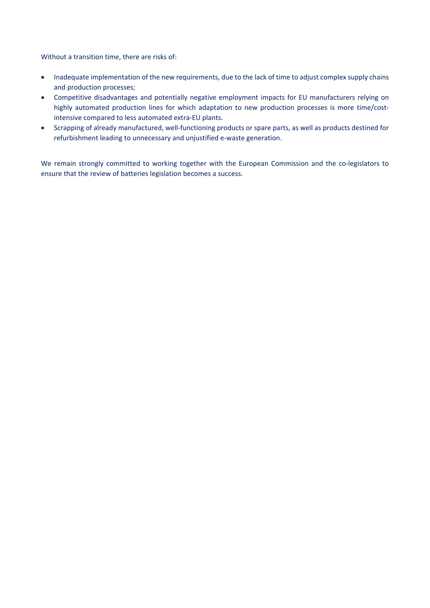Without a transition time, there are risks of:

- Inadequate implementation of the new requirements, due to the lack of time to adjust complex supply chains and production processes;
- Competitive disadvantages and potentially negative employment impacts for EU manufacturers relying on highly automated production lines for which adaptation to new production processes is more time/costintensive compared to less automated extra-EU plants.
- Scrapping of already manufactured, well-functioning products or spare parts, as well as products destined for refurbishment leading to unnecessary and unjustified e-waste generation.

We remain strongly committed to working together with the European Commission and the co-legislators to ensure that the review of batteries legislation becomes a success.